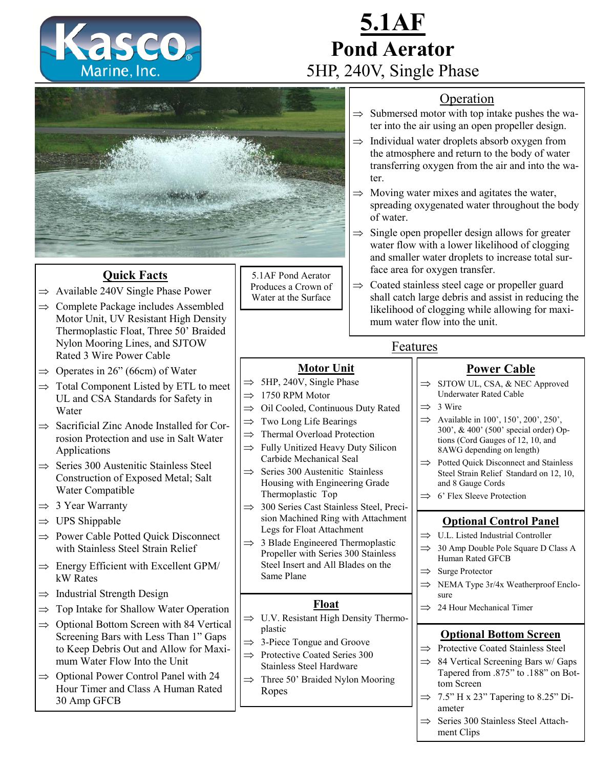

# **5.1AF Pond Aerator**  5HP, 240V, Single Phase



- $\Rightarrow$  Submersed motor with top intake pushes the water into the air using an open propeller design.
- $\Rightarrow$  Individual water droplets absorb oxygen from the atmosphere and return to the body of water transferring oxygen from the air and into the water.
- $\Rightarrow$  Moving water mixes and agitates the water, spreading oxygenated water throughout the body of water.
- $\Rightarrow$  Single open propeller design allows for greater water flow with a lower likelihood of clogging and smaller water droplets to increase total surface area for oxygen transfer.
- $\Rightarrow$  Coated stainless steel cage or propeller guard shall catch large debris and assist in reducing the likelihood of clogging while allowing for maximum water flow into the unit.

#### Features

#### **Motor Unit**

- $\implies$  5HP, 240V, Single Phase
- $\Rightarrow$  1750 RPM Motor
- $\implies$  Oil Cooled, Continuous Duty Rated
- $\Rightarrow$  Two Long Life Bearings
- $\Rightarrow$  Thermal Overload Protection
- $\Rightarrow$  Fully Unitized Heavy Duty Silicon Carbide Mechanical Seal
- $\Rightarrow$  Series 300 Austenitic Stainless Housing with Engineering Grade Thermoplastic Top
- $\implies$  300 Series Cast Stainless Steel, Precision Machined Ring with Attachment Legs for Float Attachment
- $\Rightarrow$  3 Blade Engineered Thermoplastic Propeller with Series 300 Stainless Steel Insert and All Blades on the Same Plane

#### **Float**

- $\Rightarrow$  U.V. Resistant High Density Thermoplastic
- $\Rightarrow$  3-Piece Tongue and Groove
- $\implies$  Protective Coated Series 300 Stainless Steel Hardware
- $\implies$  Three 50' Braided Nylon Mooring Ropes

#### **Power Cable**

- $\Rightarrow$  SJTOW UL, CSA, & NEC Approved Underwater Rated Cable
- $\implies$  3 Wire
- $\implies$  Available in 100', 150', 200', 250', 300', & 400' (500' special order) Options (Cord Gauges of 12, 10, and 8AWG depending on length)
- $\implies$  Potted Quick Disconnect and Stainless Steel Strain Relief Standard on 12, 10, and 8 Gauge Cords
- $\implies$  6' Flex Sleeve Protection

#### **Optional Control Panel**

- $\implies$  U.L. Listed Industrial Controller
- $\implies$  30 Amp Double Pole Square D Class A Human Rated GFCB
- $\implies$  Surge Protector
- $\implies$  NEMA Type 3r/4x Weatherproof Enclosure
- $\implies$  24 Hour Mechanical Timer

### **Optional Bottom Screen**

- $\Rightarrow$  Protective Coated Stainless Steel
- $\Rightarrow$  84 Vertical Screening Bars w/ Gaps Tapered from .875" to .188" on Bottom Screen
- $\Rightarrow$  7.5" H x 23" Tapering to 8.25" Diameter
- $\implies$  Series 300 Stainless Steel Attachment Clips

## **Quick Facts**

- $\Rightarrow$  Available 240V Single Phase Power
- $\Rightarrow$  Complete Package includes Assembled Motor Unit, UV Resistant High Density Thermoplastic Float, Three 50' Braided Nylon Mooring Lines, and SJTOW Rated 3 Wire Power Cable
- $\Rightarrow$  Operates in 26" (66cm) of Water
- $\Rightarrow$  Total Component Listed by ETL to meet UL and CSA Standards for Safety in Water
- $\Rightarrow$  Sacrificial Zinc Anode Installed for Corrosion Protection and use in Salt Water Applications
- $\Rightarrow$  Series 300 Austenitic Stainless Steel Construction of Exposed Metal; Salt Water Compatible
- $\Rightarrow$  3 Year Warranty
- $\Rightarrow$  UPS Shippable
- $\Rightarrow$  Power Cable Potted Ouick Disconnect with Stainless Steel Strain Relief
- $\Rightarrow$  Energy Efficient with Excellent GPM/ kW Rates
- $\Rightarrow$  Industrial Strength Design
- $\Rightarrow$  Top Intake for Shallow Water Operation
- $\Rightarrow$  Optional Bottom Screen with 84 Vertical Screening Bars with Less Than 1" Gaps to Keep Debris Out and Allow for Maximum Water Flow Into the Unit
- $\Rightarrow$  Optional Power Control Panel with 24 Hour Timer and Class A Human Rated 30 Amp GFCB

5.1AF Pond Aerator Produces a Crown of Water at the Surface